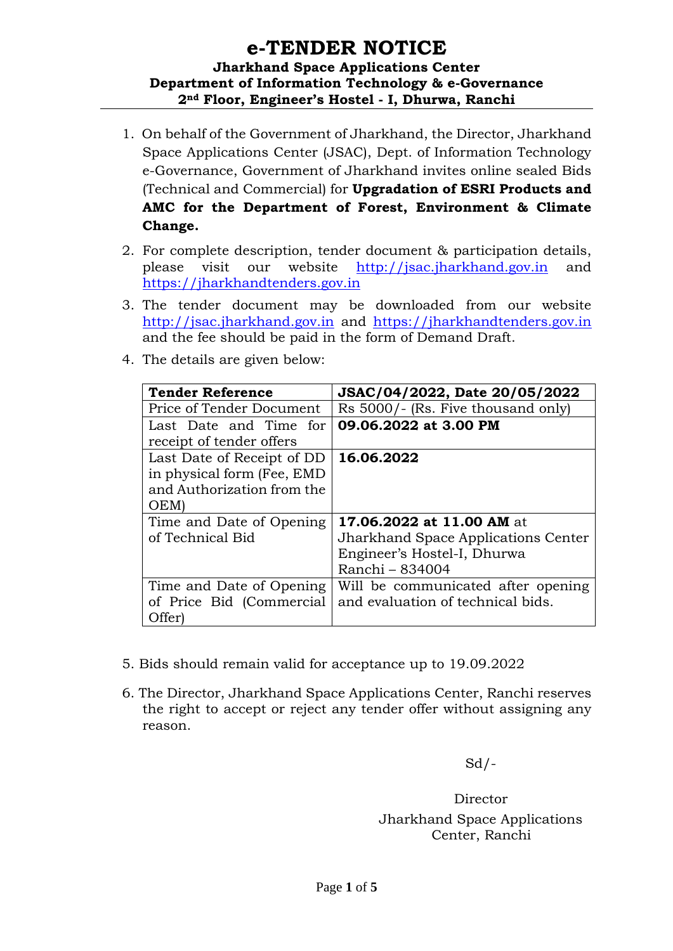# **e-TENDER NOTICE Jharkhand Space Applications Center Department of Information Technology & e-Governance 2nd Floor, Engineer's Hostel - I, Dhurwa, Ranchi**

- 1. On behalf of the Government of Jharkhand, the Director, Jharkhand Space Applications Center (JSAC), Dept. of Information Technology e-Governance, Government of Jharkhand invites online sealed Bids (Technical and Commercial) for **Upgradation of ESRI Products and AMC for the Department of Forest, Environment & Climate Change.**
- 2. For complete description, tender document & participation details, please visit our website [http://jsac.jharkhand.gov.in](http://jsac.jharkhand.gov.in/) and [https://jharkhandtenders.gov.in](https://jharkhandtenders.gov.in/)
- 3. The tender document may be downloaded from our website [http://jsac.jharkhand.gov.in](http://jsac.jharkhand.gov.in/) and [https://jharkhandtenders.gov.in](https://jharkhandtenders.gov.in/) and the fee should be paid in the form of Demand Draft.
- 4. The details are given below:

| <b>Tender Reference</b>     | JSAC/04/2022, Date 20/05/2022       |  |  |
|-----------------------------|-------------------------------------|--|--|
| Price of Tender Document    | Rs 5000/- (Rs. Five thousand only)  |  |  |
| Last Date and Time for      | 09.06.2022 at 3.00 PM               |  |  |
| receipt of tender offers    |                                     |  |  |
| Last Date of Receipt of DD  | 16.06.2022                          |  |  |
| in physical form (Fee, EMD) |                                     |  |  |
| and Authorization from the  |                                     |  |  |
| OEM)                        |                                     |  |  |
| Time and Date of Opening    | 17.06.2022 at 11.00 AM at           |  |  |
| of Technical Bid            | Jharkhand Space Applications Center |  |  |
|                             | Engineer's Hostel-I, Dhurwa         |  |  |
|                             | Ranchi - 834004                     |  |  |
| Time and Date of Opening    | Will be communicated after opening  |  |  |
| of Price Bid (Commercial    | and evaluation of technical bids.   |  |  |
| Offer)                      |                                     |  |  |

- 5. Bids should remain valid for acceptance up to 19.09.2022
- 6. The Director, Jharkhand Space Applications Center, Ranchi reserves the right to accept or reject any tender offer without assigning any reason.

 $Sd$  /-

Director Jharkhand Space Applications Center, Ranchi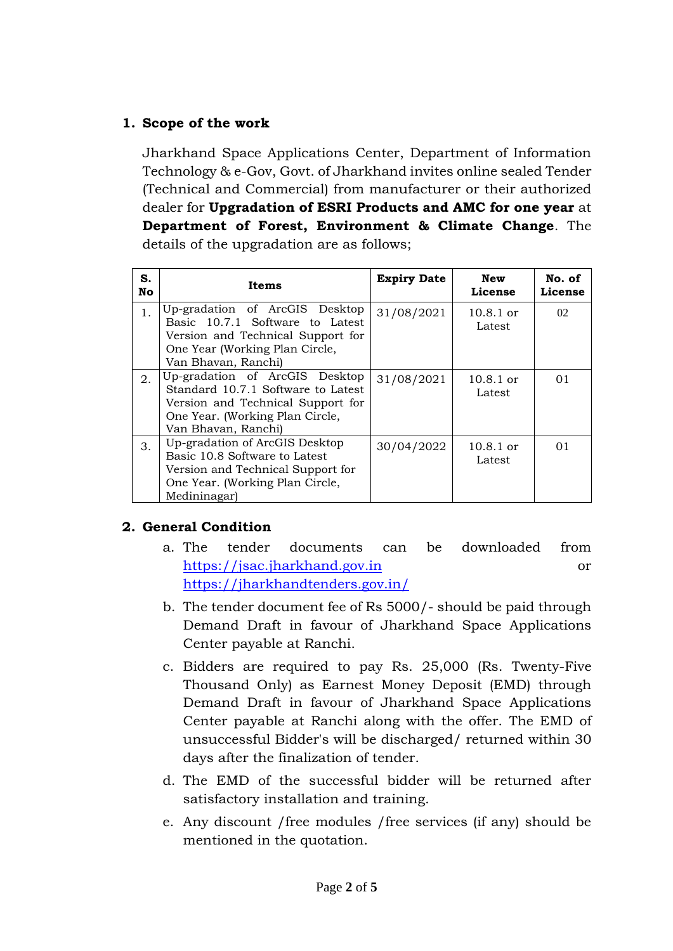# **1. Scope of the work**

Jharkhand Space Applications Center, Department of Information Technology & e-Gov, Govt. of Jharkhand invites online sealed Tender (Technical and Commercial) from manufacturer or their authorized dealer for **Upgradation of ESRI Products and AMC for one year** at **Department of Forest, Environment & Climate Change**. The details of the upgradation are as follows;

| S.<br>No       | Items                                                                                                                                                               | <b>Expiry Date</b> | <b>New</b><br>License | No. of<br>License |
|----------------|---------------------------------------------------------------------------------------------------------------------------------------------------------------------|--------------------|-----------------------|-------------------|
| 1 <sub>1</sub> | Up-gradation of ArcGIS Desktop<br>Basic 10.7.1 Software to Latest<br>Version and Technical Support for<br>One Year (Working Plan Circle,<br>Van Bhavan, Ranchi)     | 31/08/2021         | $10.8.1$ or<br>Latest | 02                |
| 2.             | Up-gradation of ArcGIS Desktop<br>Standard 10.7.1 Software to Latest<br>Version and Technical Support for<br>One Year. (Working Plan Circle,<br>Van Bhavan, Ranchi) | 31/08/2021         | $10.8.1$ or<br>Latest | 0 <sub>1</sub>    |
| 3.             | Up-gradation of ArcGIS Desktop<br>Basic 10.8 Software to Latest<br>Version and Technical Support for<br>One Year. (Working Plan Circle,<br>Medininagar)             | 30/04/2022         | $10.8.1$ or<br>Latest | 0 <sub>1</sub>    |

#### **2. General Condition**

- a. The tender documents can be downloaded from [https://jsac.jharkhand.gov.in](https://jsac.jharkhand.gov.in/) or <https://jharkhandtenders.gov.in/>
- b. The tender document fee of Rs 5000/- should be paid through Demand Draft in favour of Jharkhand Space Applications Center payable at Ranchi.
- c. Bidders are required to pay Rs. 25,000 (Rs. Twenty-Five Thousand Only) as Earnest Money Deposit (EMD) through Demand Draft in favour of Jharkhand Space Applications Center payable at Ranchi along with the offer. The EMD of unsuccessful Bidder's will be discharged/ returned within 30 days after the finalization of tender.
- d. The EMD of the successful bidder will be returned after satisfactory installation and training.
- e. Any discount /free modules /free services (if any) should be mentioned in the quotation.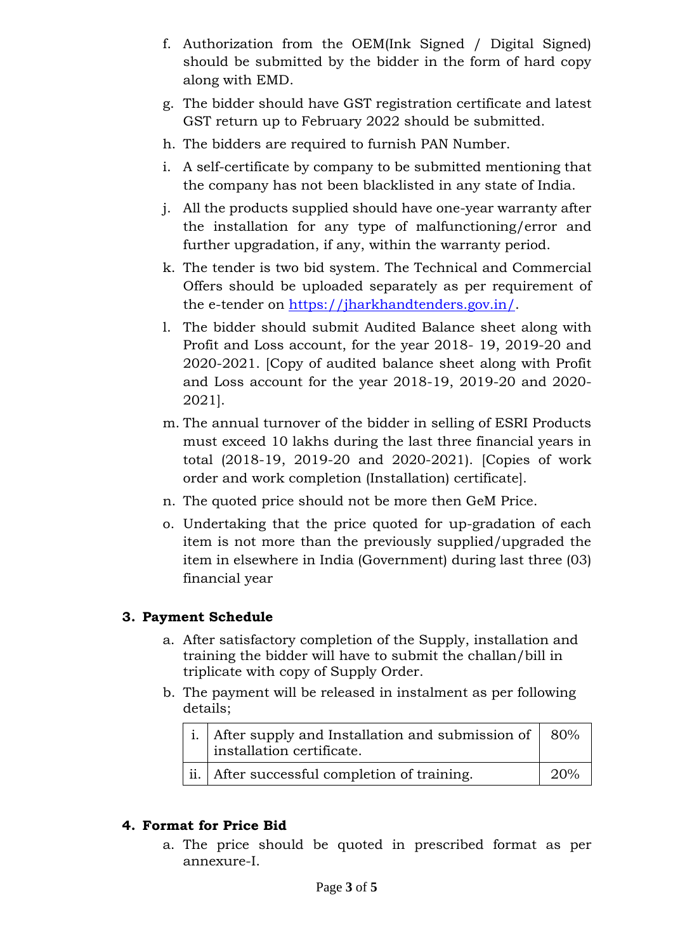- f. Authorization from the OEM(Ink Signed / Digital Signed) should be submitted by the bidder in the form of hard copy along with EMD.
- g. The bidder should have GST registration certificate and latest GST return up to February 2022 should be submitted.
- h. The bidders are required to furnish PAN Number.
- i. A self-certificate by company to be submitted mentioning that the company has not been blacklisted in any state of India.
- j. All the products supplied should have one-year warranty after the installation for any type of malfunctioning/error and further upgradation, if any, within the warranty period.
- k. The tender is two bid system. The Technical and Commercial Offers should be uploaded separately as per requirement of the e-tender on [https://jharkhandtenders.gov.in/.](https://jharkhandtenders.gov.in/)
- l. The bidder should submit Audited Balance sheet along with Profit and Loss account, for the year 2018- 19, 2019-20 and 2020-2021. [Copy of audited balance sheet along with Profit and Loss account for the year 2018-19, 2019-20 and 2020- 2021].
- m. The annual turnover of the bidder in selling of ESRI Products must exceed 10 lakhs during the last three financial years in total (2018-19, 2019-20 and 2020-2021). [Copies of work order and work completion (Installation) certificate].
- n. The quoted price should not be more then GeM Price.
- o. Undertaking that the price quoted for up-gradation of each item is not more than the previously supplied/upgraded the item in elsewhere in India (Government) during last three (03) financial year

# **3. Payment Schedule**

- a. After satisfactory completion of the Supply, installation and training the bidder will have to submit the challan/bill in triplicate with copy of Supply Order.
- b. The payment will be released in instalment as per following details;

| i. After supply and Installation and submission of $\sqrt{\frac{80\%}{n}}$ |     |
|----------------------------------------------------------------------------|-----|
| ii.   After successful completion of training.                             | 20% |

#### **4. Format for Price Bid**

a. The price should be quoted in prescribed format as per annexure-I.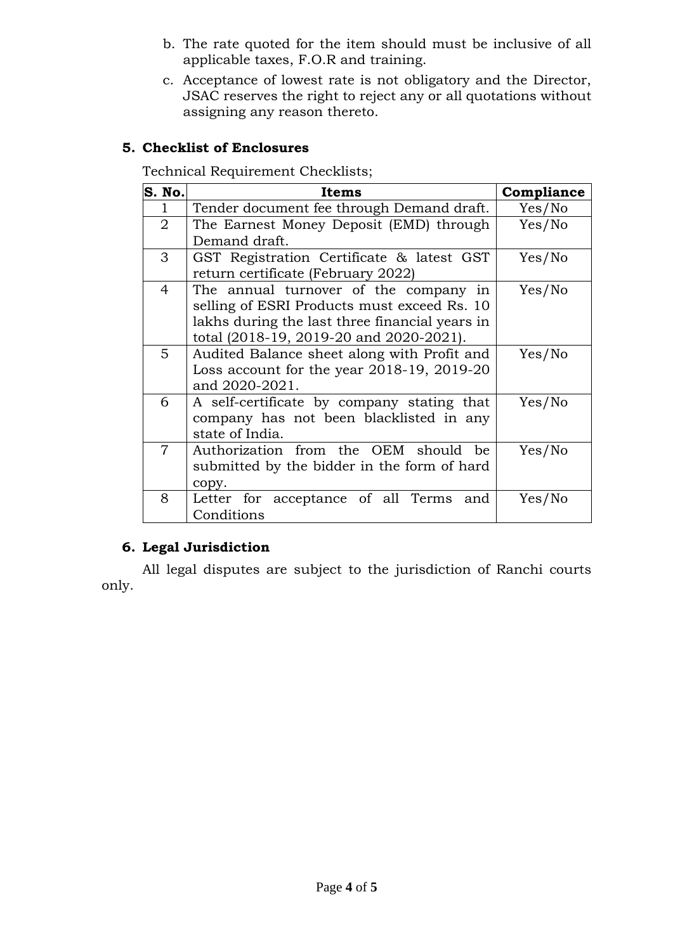- b. The rate quoted for the item should must be inclusive of all applicable taxes, F.O.R and training.
- c. Acceptance of lowest rate is not obligatory and the Director, JSAC reserves the right to reject any or all quotations without assigning any reason thereto.

## **5. Checklist of Enclosures**

Technical Requirement Checklists;

| S. No.         | Items                                           | Compliance |  |
|----------------|-------------------------------------------------|------------|--|
|                | Tender document fee through Demand draft.       | Yes/No     |  |
| $\overline{2}$ | The Earnest Money Deposit (EMD) through         | Yes/No     |  |
|                | Demand draft.                                   |            |  |
| 3              | GST Registration Certificate & latest GST       | Yes/No     |  |
|                | return certificate (February 2022)              |            |  |
| $\overline{4}$ | The annual turnover of the company in           | Yes/No     |  |
|                | selling of ESRI Products must exceed Rs. 10     |            |  |
|                | lakhs during the last three financial years in  |            |  |
|                | total (2018-19, 2019-20 and 2020-2021).         |            |  |
| 5              | Audited Balance sheet along with Profit and     | Yes/No     |  |
|                | Loss account for the year $2018-19$ , $2019-20$ |            |  |
|                | and 2020-2021.                                  |            |  |
| 6              | A self-certificate by company stating that      | Yes/No     |  |
|                | company has not been blacklisted in any         |            |  |
|                | state of India.                                 |            |  |
| $\overline{7}$ | Authorization from the OEM should be            | Yes/No     |  |
|                | submitted by the bidder in the form of hard     |            |  |
|                | copy.                                           |            |  |
| 8              | Letter for acceptance of all Terms and          | Yes/No     |  |
|                | Conditions                                      |            |  |

#### **6. Legal Jurisdiction**

All legal disputes are subject to the jurisdiction of Ranchi courts only.